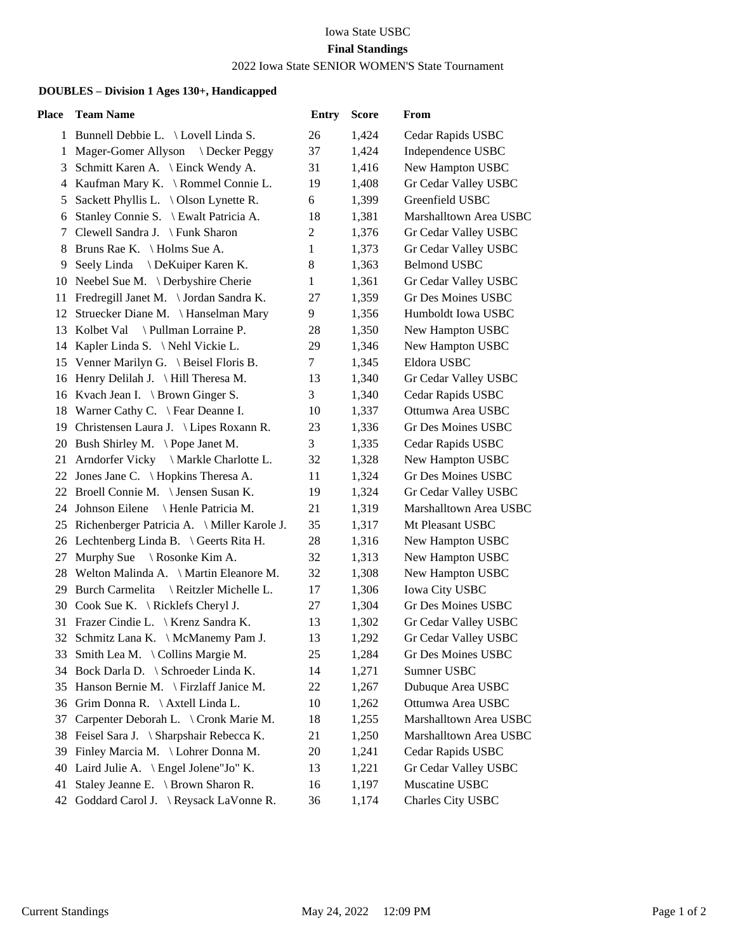## Iowa State USBC **Final Standings** 2022 Iowa State SENIOR WOMEN'S State Tournament

## **DOUBLES – Division 1 Ages 130+, Handicapped**

| Place | <b>Team Name</b>                               | <b>Entry</b>   | <b>Score</b> | From                      |
|-------|------------------------------------------------|----------------|--------------|---------------------------|
|       | 1 Bunnell Debbie L. \ Lovell Linda S.          | 26             | 1,424        | Cedar Rapids USBC         |
| 1     | Mager-Gomer Allyson \ Decker Peggy             | 37             | 1,424        | Independence USBC         |
|       | 3 Schmitt Karen A. \ Einck Wendy A.            | 31             | 1,416        | New Hampton USBC          |
|       | 4 Kaufman Mary K. \ Rommel Connie L.           | 19             | 1,408        | Gr Cedar Valley USBC      |
| 5     | Sackett Phyllis L. \ Olson Lynette R.          | 6              | 1,399        | Greenfield USBC           |
| 6     | Stanley Connie S. \ Ewalt Patricia A.          | 18             | 1,381        | Marshalltown Area USBC    |
|       | 7 Clewell Sandra J. \ Funk Sharon              | $\overline{c}$ | 1,376        | Gr Cedar Valley USBC      |
| 8     | Bruns Rae K. \ Holms Sue A.                    | $\mathbf{1}$   | 1,373        | Gr Cedar Valley USBC      |
| 9     | Seely Linda \ DeKuiper Karen K.                | 8              | 1,363        | <b>Belmond USBC</b>       |
|       | 10 Neebel Sue M. \ Derbyshire Cherie           | 1              | 1,361        | Gr Cedar Valley USBC      |
|       | 11 Fredregill Janet M. \Jordan Sandra K.       | 27             | 1,359        | Gr Des Moines USBC        |
|       | 12 Struecker Diane M. \Hanselman Mary          | 9              | 1,356        | Humboldt Iowa USBC        |
|       | 13 Kolbet Val \ Pullman Lorraine P.            | 28             | 1,350        | New Hampton USBC          |
|       | 14 Kapler Linda S. \Nehl Vickie L.             | 29             | 1,346        | New Hampton USBC          |
|       | 15 Venner Marilyn G. \ Beisel Floris B.        | $\tau$         | 1,345        | Eldora USBC               |
|       | 16 Henry Delilah J. \ Hill Theresa M.          | 13             | 1,340        | Gr Cedar Valley USBC      |
|       | 16 Kvach Jean I. \ Brown Ginger S.             | 3              | 1,340        | Cedar Rapids USBC         |
|       | 18 Warner Cathy C. \ Fear Deanne I.            | 10             | 1,337        | Ottumwa Area USBC         |
|       | 19 Christensen Laura J. \ Lipes Roxann R.      | 23             | 1,336        | Gr Des Moines USBC        |
|       | 20 Bush Shirley M. \Pope Janet M.              | 3              | 1,335        | Cedar Rapids USBC         |
|       | 21 Arndorfer Vicky \ Markle Charlotte L.       | 32             | 1,328        | New Hampton USBC          |
|       | 22 Jones Jane C. \ Hopkins Theresa A.          | 11             | 1,324        | Gr Des Moines USBC        |
|       | 22 Broell Connie M. \ Jensen Susan K.          | 19             | 1,324        | Gr Cedar Valley USBC      |
|       | \ Henle Patricia M.<br>24 Johnson Eilene       | 21             | 1,319        | Marshalltown Area USBC    |
|       | 25 Richenberger Patricia A. \ Miller Karole J. | 35             | 1,317        | Mt Pleasant USBC          |
|       | 26 Lechtenberg Linda B. \ Geerts Rita H.       | 28             | 1,316        | New Hampton USBC          |
| 27    | Murphy Sue $\setminus$ Rosonke Kim A.          | 32             | 1,313        | New Hampton USBC          |
|       | 28 Welton Malinda A. \ Martin Eleanore M.      | 32             | 1,308        | New Hampton USBC          |
| 29    | Burch Carmelita \ Reitzler Michelle L.         | 17             | 1,306        | Iowa City USBC            |
| 30    | Cook Sue K. \ Ricklefs Cheryl J.               | 27             | 1,304        | Gr Des Moines USBC        |
|       | 31 Frazer Cindie L. \ Krenz Sandra K.          | 13             | 1,302        | Gr Cedar Valley USBC      |
|       | 32 Schmitz Lana K. \ McManemy Pam J.           | 13             | 1,292        | Gr Cedar Valley USBC      |
|       | 33 Smith Lea M. \ Collins Margie M.            | 25             | 1,284        | <b>Gr Des Moines USBC</b> |
|       | 34 Bock Darla D. \ Schroeder Linda K.          | 14             | 1,271        | Sumner USBC               |
|       | 35 Hanson Bernie M. \ Firzlaff Janice M.       | 22             | 1,267        | Dubuque Area USBC         |
|       | 36 Grim Donna R. \Axtell Linda L.              | 10             | 1,262        | Ottumwa Area USBC         |
| 37    | Carpenter Deborah L. \ Cronk Marie M.          | 18             | 1,255        | Marshalltown Area USBC    |
| 38    | Feisel Sara J. \ Sharpshair Rebecca K.         | 21             | 1,250        | Marshalltown Area USBC    |
| 39    | Finley Marcia M. \ Lohrer Donna M.             | 20             | 1,241        | Cedar Rapids USBC         |
| 40    | Laird Julie A. \ Engel Jolene"Jo" K.           | 13             | 1,221        | Gr Cedar Valley USBC      |
| 41    | Staley Jeanne E. \ Brown Sharon R.             | 16             | 1,197        | Muscatine USBC            |
| 42    | Goddard Carol J. \ Reysack LaVonne R.          | 36             | 1,174        | Charles City USBC         |